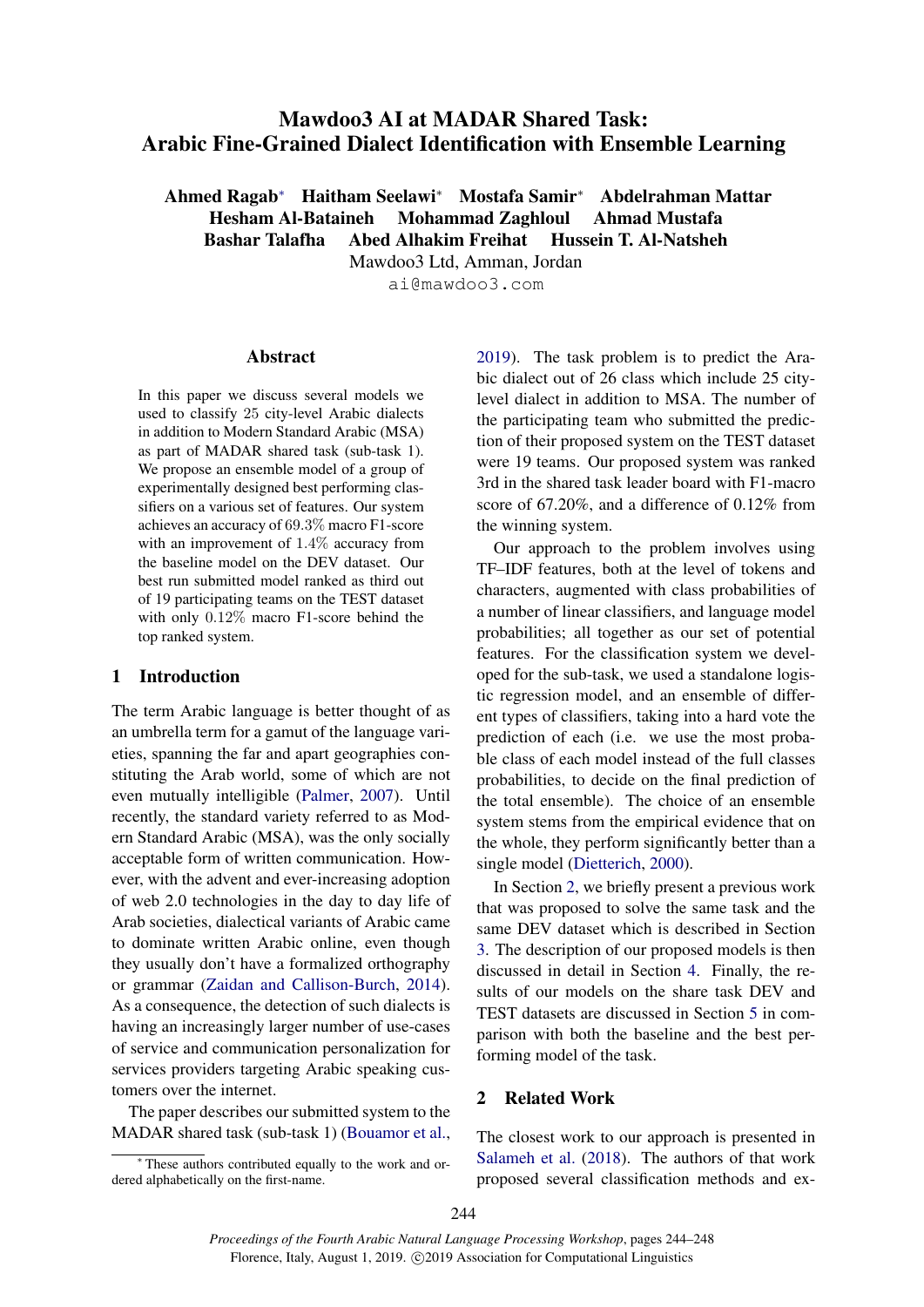# <span id="page-0-1"></span>Mawdoo3 AI at MADAR Shared Task: Arabic Fine-Grained Dialect Identification with Ensemble Learning

Ahmed Ragab<sup>∗</sup> Haitham Seelawi<sup>∗</sup> Mostafa Samir<sup>∗</sup> Abdelrahman Mattar

Hesham Al-Bataineh Mohammad Zaghloul Ahmad Mustafa Bashar Talafha Abed Alhakim Freihat Hussein T. Al-Natsheh

Mawdoo3 Ltd, Amman, Jordan

ai@mawdoo3.com

## Abstract

In this paper we discuss several models we used to classify 25 city-level Arabic dialects in addition to Modern Standard Arabic (MSA) as part of MADAR shared task (sub-task 1). We propose an ensemble model of a group of experimentally designed best performing classifiers on a various set of features. Our system achieves an accuracy of 69.3% macro F1-score with an improvement of 1.4% accuracy from the baseline model on the DEV dataset. Our best run submitted model ranked as third out of 19 participating teams on the TEST dataset with only 0.12% macro F1-score behind the top ranked system.

## 1 Introduction

The term Arabic language is better thought of as an umbrella term for a gamut of the language varieties, spanning the far and apart geographies constituting the Arab world, some of which are not even mutually intelligible [\(Palmer,](#page-4-0) [2007\)](#page-4-0). Until recently, the standard variety referred to as Modern Standard Arabic (MSA), was the only socially acceptable form of written communication. However, with the advent and ever-increasing adoption of web 2.0 technologies in the day to day life of Arab societies, dialectical variants of Arabic came to dominate written Arabic online, even though they usually don't have a formalized orthography or grammar [\(Zaidan and Callison-Burch,](#page-4-1) [2014\)](#page-4-1). As a consequence, the detection of such dialects is having an increasingly larger number of use-cases of service and communication personalization for services providers targeting Arabic speaking customers over the internet.

The paper describes our submitted system to the MADAR shared task (sub-task 1) [\(Bouamor et al.,](#page-4-2)

<sup>∗</sup> These authors contributed equally to the work and ordered alphabetically on the first-name.

[2019\)](#page-4-2). The task problem is to predict the Arabic dialect out of 26 class which include 25 citylevel dialect in addition to MSA. The number of the participating team who submitted the prediction of their proposed system on the TEST dataset were 19 teams. Our proposed system was ranked 3rd in the shared task leader board with F1-macro score of 67.20%, and a difference of 0.12% from the winning system.

Our approach to the problem involves using TF–IDF features, both at the level of tokens and characters, augmented with class probabilities of a number of linear classifiers, and language model probabilities; all together as our set of potential features. For the classification system we developed for the sub-task, we used a standalone logistic regression model, and an ensemble of different types of classifiers, taking into a hard vote the prediction of each (i.e. we use the most probable class of each model instead of the full classes probabilities, to decide on the final prediction of the total ensemble). The choice of an ensemble system stems from the empirical evidence that on the whole, they perform significantly better than a single model [\(Dietterich,](#page-4-3) [2000\)](#page-4-3).

In Section [2,](#page-0-0) we briefly present a previous work that was proposed to solve the same task and the same DEV dataset which is described in Section [3.](#page-1-0) The description of our proposed models is then discussed in detail in Section [4.](#page-1-1) Finally, the results of our models on the share task DEV and TEST datasets are discussed in Section [5](#page-3-0) in comparison with both the baseline and the best performing model of the task.

#### <span id="page-0-0"></span>2 Related Work

The closest work to our approach is presented in [Salameh et al.](#page-4-4) [\(2018\)](#page-4-4). The authors of that work proposed several classification methods and ex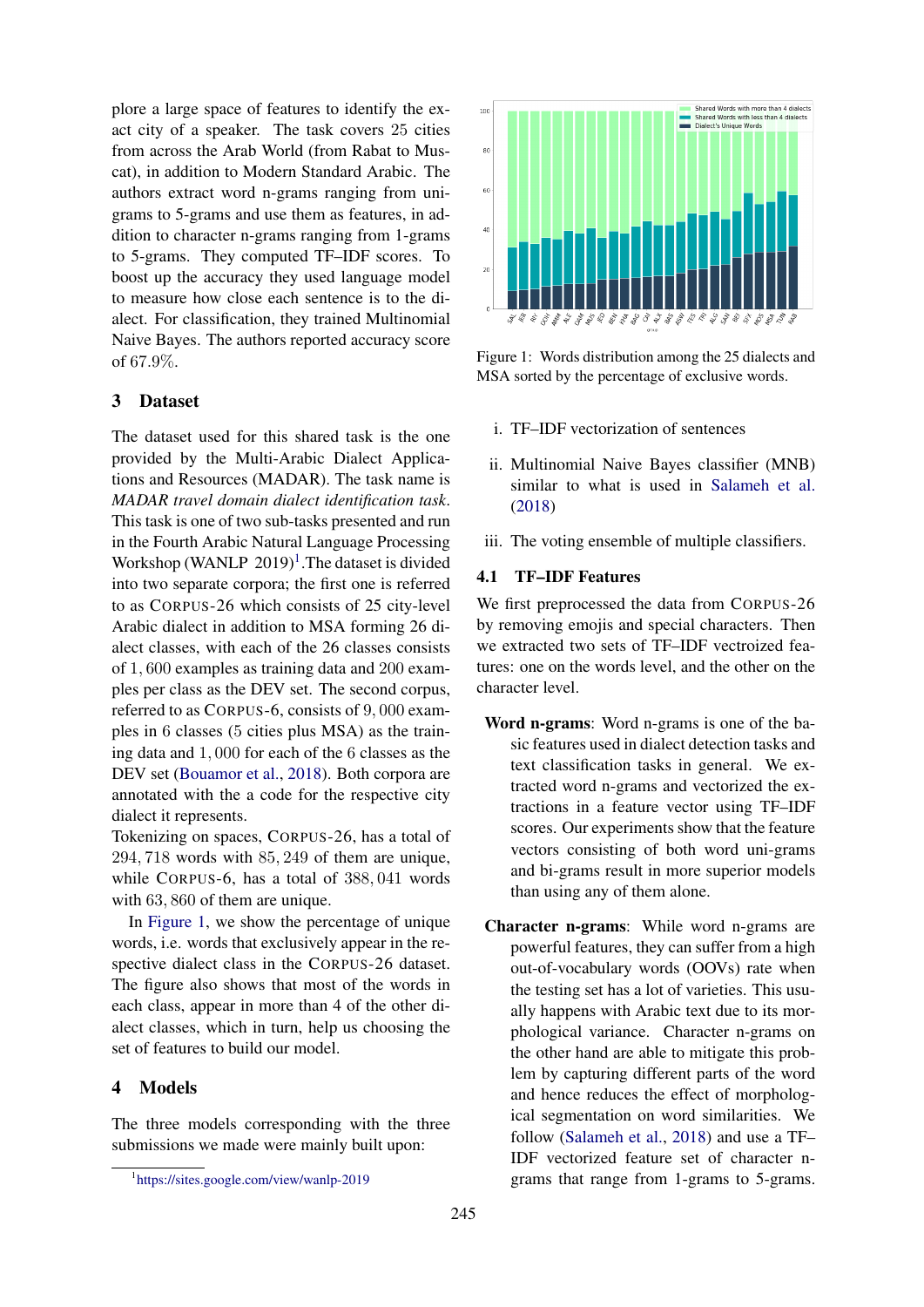plore a large space of features to identify the exact city of a speaker. The task covers 25 cities from across the Arab World (from Rabat to Muscat), in addition to Modern Standard Arabic. The authors extract word n-grams ranging from unigrams to 5-grams and use them as features, in addition to character n-grams ranging from 1-grams to 5-grams. They computed TF–IDF scores. To boost up the accuracy they used language model to measure how close each sentence is to the dialect. For classification, they trained Multinomial Naive Bayes. The authors reported accuracy score of 67.9%.

# <span id="page-1-0"></span>3 Dataset

The dataset used for this shared task is the one provided by the Multi-Arabic Dialect Applications and Resources (MADAR). The task name is *MADAR travel domain dialect identification task*. This task is one of two sub-tasks presented and run in the Fourth Arabic Natural Language Processing Workshop (WANLP 20[1](#page-1-2)9)<sup>1</sup>. The dataset is divided into two separate corpora; the first one is referred to as CORPUS-26 which consists of 25 city-level Arabic dialect in addition to MSA forming 26 dialect classes, with each of the 26 classes consists of 1, 600 examples as training data and 200 examples per class as the DEV set. The second corpus, referred to as CORPUS-6, consists of 9, 000 examples in 6 classes (5 cities plus MSA) as the training data and 1, 000 for each of the 6 classes as the DEV set [\(Bouamor et al.,](#page-4-5) [2018\)](#page-4-5). Both corpora are annotated with the a code for the respective city dialect it represents.

Tokenizing on spaces, CORPUS-26, has a total of 294, 718 words with 85, 249 of them are unique, while CORPUS-6, has a total of 388, 041 words with 63, 860 of them are unique.

In [Figure](#page-1-3) [1,](#page-1-3) we show the percentage of unique words, i.e. words that exclusively appear in the respective dialect class in the CORPUS-26 dataset. The figure also shows that most of the words in each class, appear in more than 4 of the other dialect classes, which in turn, help us choosing the set of features to build our model.

#### <span id="page-1-1"></span>4 Models

The three models corresponding with the three submissions we made were mainly built upon:

<span id="page-1-3"></span>

Figure 1: Words distribution among the 25 dialects and MSA sorted by the percentage of exclusive words.

- i. TF–IDF vectorization of sentences
- ii. Multinomial Naive Bayes classifier (MNB) similar to what is used in [Salameh et al.](#page-4-4) [\(2018\)](#page-4-4)
- iii. The voting ensemble of multiple classifiers.

#### 4.1 TF–IDF Features

We first preprocessed the data from CORPUS-26 by removing emojis and special characters. Then we extracted two sets of TF–IDF vectroized features: one on the words level, and the other on the character level.

- Word n-grams: Word n-grams is one of the basic features used in dialect detection tasks and text classification tasks in general. We extracted word n-grams and vectorized the extractions in a feature vector using TF–IDF scores. Our experiments show that the feature vectors consisting of both word uni-grams and bi-grams result in more superior models than using any of them alone.
- Character n-grams: While word n-grams are powerful features, they can suffer from a high out-of-vocabulary words (OOVs) rate when the testing set has a lot of varieties. This usually happens with Arabic text due to its morphological variance. Character n-grams on the other hand are able to mitigate this problem by capturing different parts of the word and hence reduces the effect of morphological segmentation on word similarities. We follow [\(Salameh et al.,](#page-4-4) [2018\)](#page-4-4) and use a TF– IDF vectorized feature set of character ngrams that range from 1-grams to 5-grams.

<span id="page-1-2"></span><sup>1</sup> [https://sites.google.com/view/wanlp-2019](#page-0-1)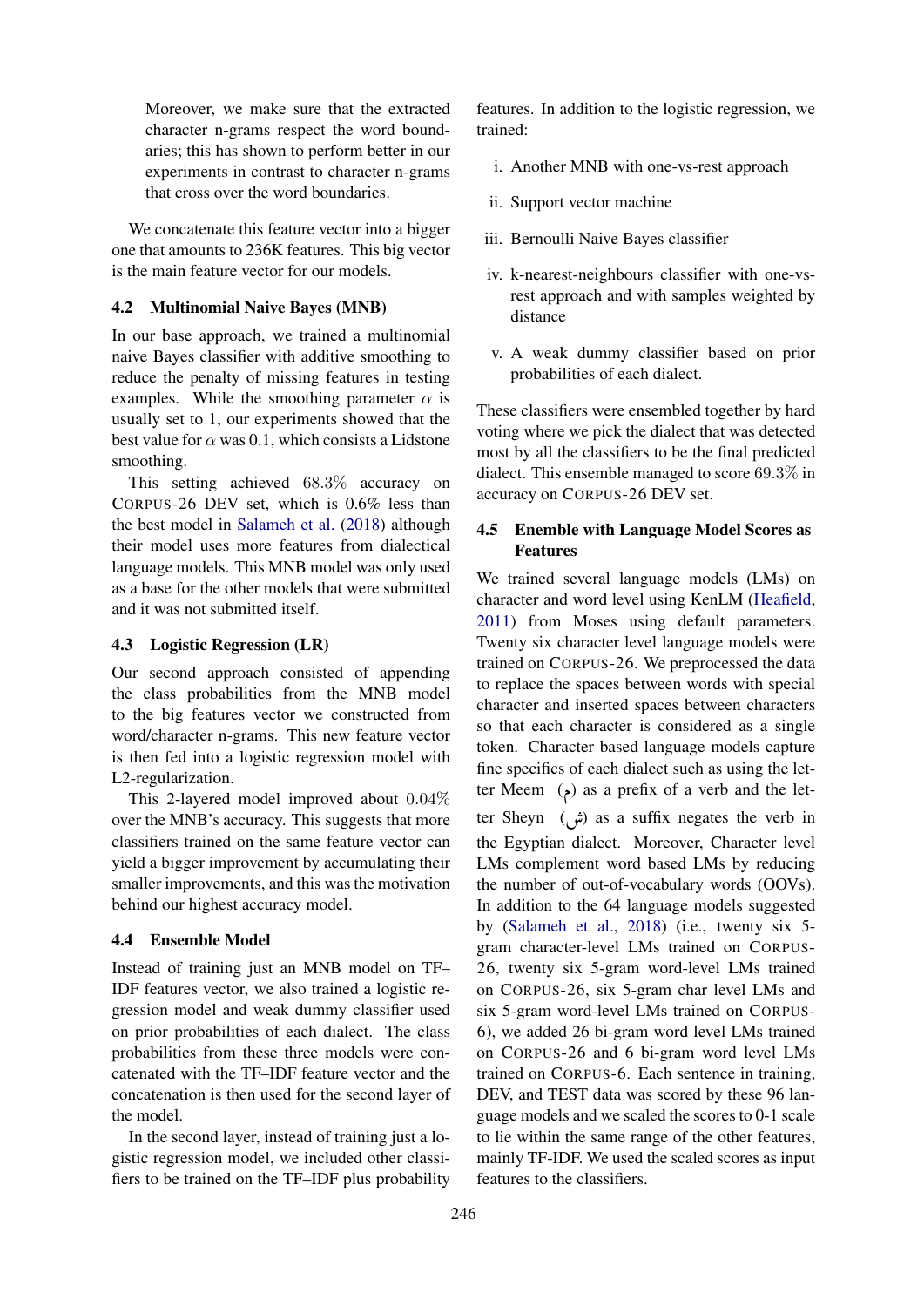Moreover, we make sure that the extracted character n-grams respect the word boundaries; this has shown to perform better in our experiments in contrast to character n-grams that cross over the word boundaries.

We concatenate this feature vector into a bigger one that amounts to 236K features. This big vector is the main feature vector for our models.

## 4.2 Multinomial Naive Bayes (MNB)

In our base approach, we trained a multinomial naive Bayes classifier with additive smoothing to reduce the penalty of missing features in testing examples. While the smoothing parameter  $\alpha$  is usually set to 1, our experiments showed that the best value for  $\alpha$  was 0.1, which consists a Lidstone smoothing.

This setting achieved 68.3% accuracy on CORPUS-26 DEV set, which is 0.6% less than the best model in [Salameh et al.](#page-4-4) [\(2018\)](#page-4-4) although their model uses more features from dialectical language models. This MNB model was only used as a base for the other models that were submitted and it was not submitted itself.

#### 4.3 Logistic Regression (LR)

Our second approach consisted of appending the class probabilities from the MNB model to the big features vector we constructed from word/character n-grams. This new feature vector is then fed into a logistic regression model with L2-regularization.

This 2-layered model improved about 0.04% over the MNB's accuracy. This suggests that more classifiers trained on the same feature vector can yield a bigger improvement by accumulating their smaller improvements, and this was the motivation behind our highest accuracy model.

#### <span id="page-2-0"></span>4.4 Ensemble Model

Instead of training just an MNB model on TF– IDF features vector, we also trained a logistic regression model and weak dummy classifier used on prior probabilities of each dialect. The class probabilities from these three models were concatenated with the TF–IDF feature vector and the concatenation is then used for the second layer of the model.

In the second layer, instead of training just a logistic regression model, we included other classifiers to be trained on the TF–IDF plus probability

features. In addition to the logistic regression, we trained:

- i. Another MNB with one-vs-rest approach
- ii. Support vector machine
- iii. Bernoulli Naive Bayes classifier
- iv. k-nearest-neighbours classifier with one-vsrest approach and with samples weighted by distance
- v. A weak dummy classifier based on prior probabilities of each dialect.

These classifiers were ensembled together by hard voting where we pick the dialect that was detected most by all the classifiers to be the final predicted dialect. This ensemble managed to score 69.3% in accuracy on CORPUS-26 DEV set.

## 4.5 Enemble with Language Model Scores as Features

We trained several language models (LMs) on character and word level using KenLM [\(Heafield,](#page-4-6) [2011\)](#page-4-6) from Moses using default parameters. Twenty six character level language models were trained on CORPUS-26. We preprocessed the data to replace the spaces between words with special character and inserted spaces between characters so that each character is considered as a single token. Character based language models capture fine specifics of each dialect such as using the letter Meem  $(\epsilon)$  as a prefix of a verb and the letter Sheyn  $(\vec{\mu})$  as a suffix negates the verb in the Egyptian dialect. Moreover, Character level LMs complement word based LMs by reducing the number of out-of-vocabulary words (OOVs). In addition to the 64 language models suggested by [\(Salameh et al.,](#page-4-4) [2018\)](#page-4-4) (i.e., twenty six 5 gram character-level LMs trained on CORPUS-26, twenty six 5-gram word-level LMs trained on CORPUS-26, six 5-gram char level LMs and six 5-gram word-level LMs trained on CORPUS-6), we added 26 bi-gram word level LMs trained on CORPUS-26 and 6 bi-gram word level LMs trained on CORPUS-6. Each sentence in training, DEV, and TEST data was scored by these 96 language models and we scaled the scores to 0-1 scale to lie within the same range of the other features, mainly TF-IDF. We used the scaled scores as input features to the classifiers.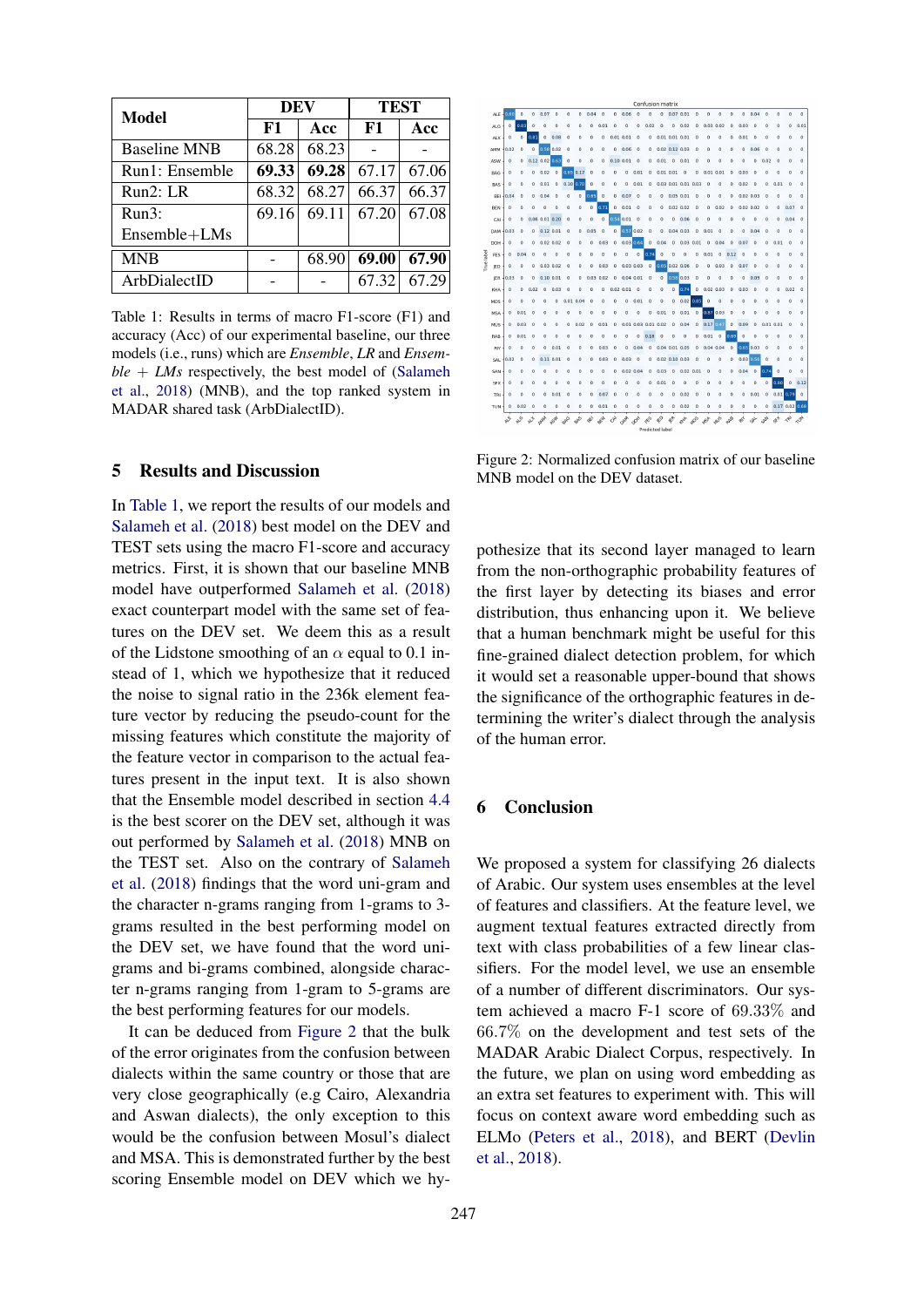<span id="page-3-1"></span>

| Model               | DEV   |       | <b>TEST</b> |       |
|---------------------|-------|-------|-------------|-------|
|                     | F1    | Acc   | F1          | Acc   |
| <b>Baseline MNB</b> | 68.28 | 68.23 |             |       |
| Run1: Ensemble      | 69.33 | 69.28 | 67.17       | 67.06 |
| Run2: LR            | 68.32 | 68.27 | 66.37       | 66.37 |
| Run3:               | 69.16 | 69.11 | 67.20       | 67.08 |
| Ensemble+LMs        |       |       |             |       |
| <b>MNB</b>          |       | 68.90 | 69.00       | 67.90 |
| ArbDialectID        |       |       | 67.32       | 67.29 |

Table 1: Results in terms of macro F1-score (F1) and accuracy (Acc) of our experimental baseline, our three models (i.e., runs) which are *Ensemble*, *LR* and *Ensemble* + *LMs* respectively, the best model of [\(Salameh](#page-4-4) [et al.,](#page-4-4) [2018\)](#page-4-4) (MNB), and the top ranked system in MADAR shared task (ArbDialectID).

# <span id="page-3-0"></span>5 Results and Discussion

In [Table 1,](#page-3-1) we report the results of our models and [Salameh et al.](#page-4-4) [\(2018\)](#page-4-4) best model on the DEV and TEST sets using the macro F1-score and accuracy metrics. First, it is shown that our baseline MNB model have outperformed [Salameh et al.](#page-4-4) [\(2018\)](#page-4-4) exact counterpart model with the same set of features on the DEV set. We deem this as a result of the Lidstone smoothing of an  $\alpha$  equal to 0.1 instead of 1, which we hypothesize that it reduced the noise to signal ratio in the 236k element feature vector by reducing the pseudo-count for the missing features which constitute the majority of the feature vector in comparison to the actual features present in the input text. It is also shown that the Ensemble model described in section [4.4](#page-2-0) is the best scorer on the DEV set, although it was out performed by [Salameh et al.](#page-4-4) [\(2018\)](#page-4-4) MNB on the TEST set. Also on the contrary of [Salameh](#page-4-4) [et al.](#page-4-4) [\(2018\)](#page-4-4) findings that the word uni-gram and the character n-grams ranging from 1-grams to 3 grams resulted in the best performing model on the DEV set, we have found that the word unigrams and bi-grams combined, alongside character n-grams ranging from 1-gram to 5-grams are the best performing features for our models.

It can be deduced from [Figure](#page-3-2) [2](#page-3-2) that the bulk of the error originates from the confusion between dialects within the same country or those that are very close geographically (e.g Cairo, Alexandria and Aswan dialects), the only exception to this would be the confusion between Mosul's dialect and MSA. This is demonstrated further by the best scoring Ensemble model on DEV which we hy-

<span id="page-3-2"></span>

Figure 2: Normalized confusion matrix of our baseline MNB model on the DEV dataset.

pothesize that its second layer managed to learn from the non-orthographic probability features of the first layer by detecting its biases and error distribution, thus enhancing upon it. We believe that a human benchmark might be useful for this fine-grained dialect detection problem, for which it would set a reasonable upper-bound that shows the significance of the orthographic features in determining the writer's dialect through the analysis of the human error.

# 6 Conclusion

We proposed a system for classifying 26 dialects of Arabic. Our system uses ensembles at the level of features and classifiers. At the feature level, we augment textual features extracted directly from text with class probabilities of a few linear classifiers. For the model level, we use an ensemble of a number of different discriminators. Our system achieved a macro F-1 score of 69.33% and 66.7% on the development and test sets of the MADAR Arabic Dialect Corpus, respectively. In the future, we plan on using word embedding as an extra set features to experiment with. This will focus on context aware word embedding such as ELMo [\(Peters et al.,](#page-4-7) [2018\)](#page-4-7), and BERT [\(Devlin](#page-4-8) [et al.,](#page-4-8) [2018\)](#page-4-8).